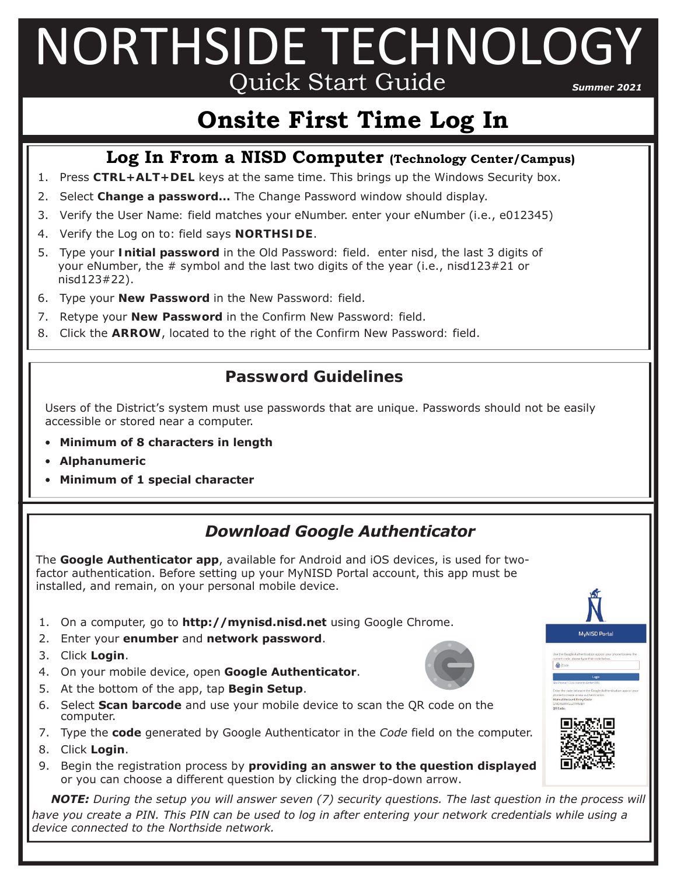# NORTHSIDE TECHNOLOGY Quick Start Guide *Summer 2021*

# **Onsite First Time Log In**

#### **Log In From a NISD Computer (Technology Center/Campus)**

- 1. Press **CTRL+ALT+DEL** keys at the same time. This brings up the Windows Security box.
- 2. Select **Change a password...** The Change Password window should display.
- 3. Verify the *User Name:* field matches your eNumber. enter your eNumber (i.e., e012345)
- 4. Verify the *Log on to*: field says **NORTHSIDE**.
- 5. Type your **Initial password** in the *Old Password:* field. enter nisd, the last 3 digits of your eNumber, the # symbol and the last two digits of the year (i.e., nisd123#21 or nisd123#22).
- 6. Type your **New Password** in the *New Password:* field.
- 7. Retype your **New Password** in the *Confirm New Password:* field.
- 8. Click the **ARROW**, located to the right of the *Confirm New Password:* field.

#### **Password Guidelines**

Users of the District's system must use passwords that are unique. Passwords should not be easily accessible or stored near a computer.

- **Minimum of 8 characters in length**
- **Alphanumeric**
- **Minimum of 1 special character**

#### *Download Google Authenticator*

The **Google Authenticator app**, available for Android and iOS devices, is used for twofactor authentication. Before setting up your MyNISD Portal account, this app must be installed, and remain, on your personal mobile device.

- 1. On a computer, go to **http://mynisd.nisd.net** using Google Chrome.
- 2. Enter your **enumber** and **network password**.
- 3. Click **Login**.
- 4. On your mobile device, open **Google Authenticator**.
- 5. At the bottom of the app, tap **Begin Setup**.
- 6. Select **Scan barcode** and use your mobile device to scan the QR code on the computer.
- 7. Type the **code** generated by Google Authenticator in the *Code* field on the computer.
- 8. Click **Login**.
- 9. Begin the registration process by **providing an answer to the question displayed** or you can choose a different question by clicking the drop-down arrow.

*NOTE: During the setup you will answer seven (7) security questions. The last question in the process will*  have you create a PIN. This PIN can be used to log in after entering your network credentials while using a *device connected to the Northside network.*





MyNISD Portal